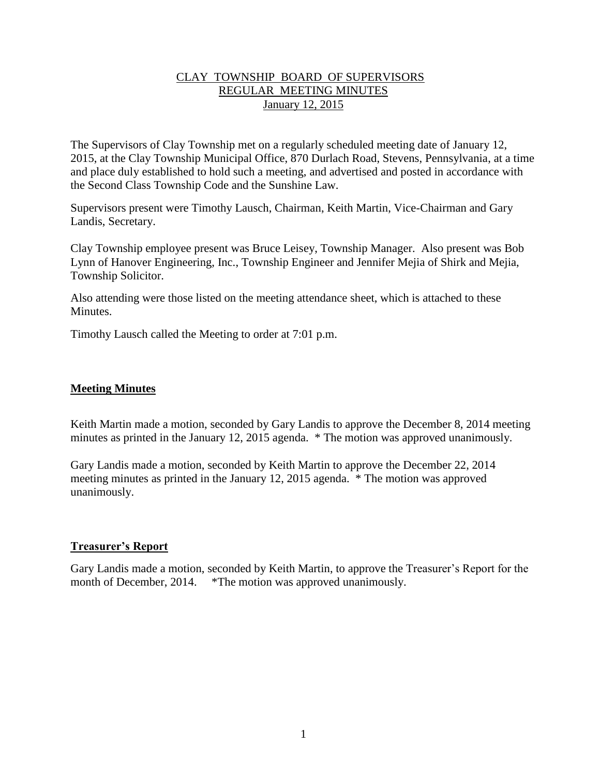### CLAY TOWNSHIP BOARD OF SUPERVISORS REGULAR MEETING MINUTES January 12, 2015

The Supervisors of Clay Township met on a regularly scheduled meeting date of January 12, 2015, at the Clay Township Municipal Office, 870 Durlach Road, Stevens, Pennsylvania, at a time and place duly established to hold such a meeting, and advertised and posted in accordance with the Second Class Township Code and the Sunshine Law.

Supervisors present were Timothy Lausch, Chairman, Keith Martin, Vice-Chairman and Gary Landis, Secretary.

Clay Township employee present was Bruce Leisey, Township Manager. Also present was Bob Lynn of Hanover Engineering, Inc., Township Engineer and Jennifer Mejia of Shirk and Mejia, Township Solicitor.

Also attending were those listed on the meeting attendance sheet, which is attached to these **Minutes** 

Timothy Lausch called the Meeting to order at 7:01 p.m.

## **Meeting Minutes**

Keith Martin made a motion, seconded by Gary Landis to approve the December 8, 2014 meeting minutes as printed in the January 12, 2015 agenda. \* The motion was approved unanimously.

Gary Landis made a motion, seconded by Keith Martin to approve the December 22, 2014 meeting minutes as printed in the January 12, 2015 agenda. \* The motion was approved unanimously.

#### **Treasurer's Report**

Gary Landis made a motion, seconded by Keith Martin, to approve the Treasurer's Report for the month of December, 2014. \*The motion was approved unanimously.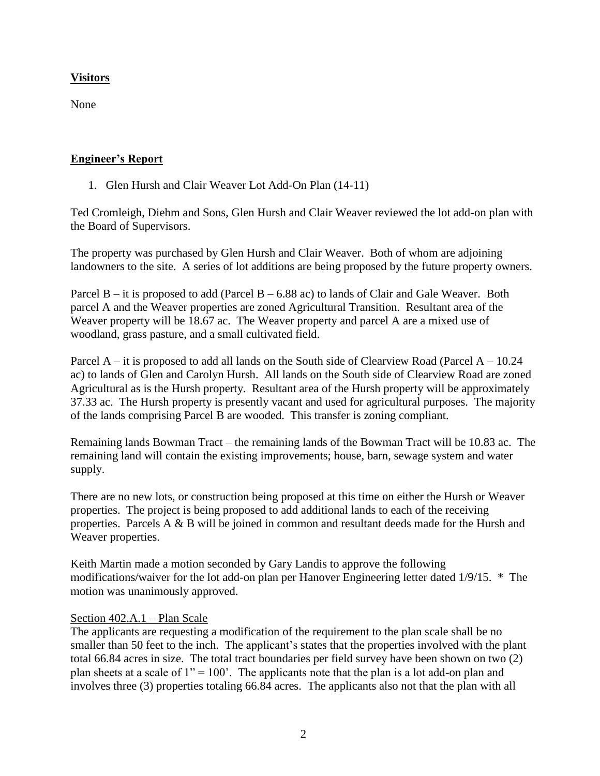# **Visitors**

None

## **Engineer's Report**

1. Glen Hursh and Clair Weaver Lot Add-On Plan (14-11)

Ted Cromleigh, Diehm and Sons, Glen Hursh and Clair Weaver reviewed the lot add-on plan with the Board of Supervisors.

The property was purchased by Glen Hursh and Clair Weaver. Both of whom are adjoining landowners to the site. A series of lot additions are being proposed by the future property owners.

Parcel  $B - it$  is proposed to add (Parcel  $B - 6.88$  ac) to lands of Clair and Gale Weaver. Both parcel A and the Weaver properties are zoned Agricultural Transition. Resultant area of the Weaver property will be 18.67 ac. The Weaver property and parcel A are a mixed use of woodland, grass pasture, and a small cultivated field.

Parcel  $A - it$  is proposed to add all lands on the South side of Clearview Road (Parcel  $A - 10.24$ ) ac) to lands of Glen and Carolyn Hursh. All lands on the South side of Clearview Road are zoned Agricultural as is the Hursh property. Resultant area of the Hursh property will be approximately 37.33 ac. The Hursh property is presently vacant and used for agricultural purposes. The majority of the lands comprising Parcel B are wooded. This transfer is zoning compliant.

Remaining lands Bowman Tract – the remaining lands of the Bowman Tract will be 10.83 ac. The remaining land will contain the existing improvements; house, barn, sewage system and water supply.

There are no new lots, or construction being proposed at this time on either the Hursh or Weaver properties. The project is being proposed to add additional lands to each of the receiving properties. Parcels A & B will be joined in common and resultant deeds made for the Hursh and Weaver properties.

Keith Martin made a motion seconded by Gary Landis to approve the following modifications/waiver for the lot add-on plan per Hanover Engineering letter dated 1/9/15. \* The motion was unanimously approved.

## Section 402.A.1 – Plan Scale

The applicants are requesting a modification of the requirement to the plan scale shall be no smaller than 50 feet to the inch. The applicant's states that the properties involved with the plant total 66.84 acres in size. The total tract boundaries per field survey have been shown on two (2) plan sheets at a scale of  $1'' = 100'$ . The applicants note that the plan is a lot add-on plan and involves three (3) properties totaling 66.84 acres. The applicants also not that the plan with all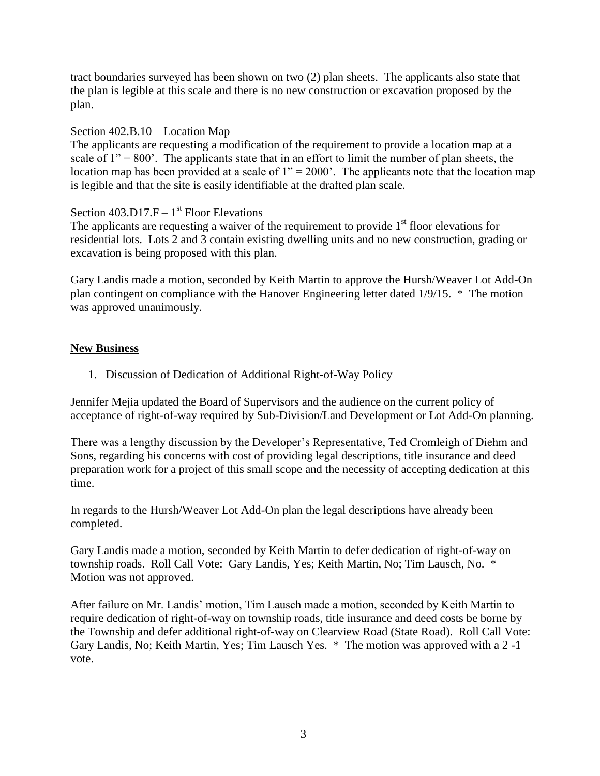tract boundaries surveyed has been shown on two (2) plan sheets. The applicants also state that the plan is legible at this scale and there is no new construction or excavation proposed by the plan.

### Section 402.B.10 – Location Map

The applicants are requesting a modification of the requirement to provide a location map at a scale of  $1'' = 800'$ . The applicants state that in an effort to limit the number of plan sheets, the location map has been provided at a scale of  $1" = 2000'$ . The applicants note that the location map is legible and that the site is easily identifiable at the drafted plan scale.

# Section  $403.D17.F - 1<sup>st</sup> Floor Elevations$

The applicants are requesting a waiver of the requirement to provide  $1<sup>st</sup>$  floor elevations for residential lots. Lots 2 and 3 contain existing dwelling units and no new construction, grading or excavation is being proposed with this plan.

Gary Landis made a motion, seconded by Keith Martin to approve the Hursh/Weaver Lot Add-On plan contingent on compliance with the Hanover Engineering letter dated 1/9/15. \* The motion was approved unanimously.

## **New Business**

1. Discussion of Dedication of Additional Right-of-Way Policy

Jennifer Mejia updated the Board of Supervisors and the audience on the current policy of acceptance of right-of-way required by Sub-Division/Land Development or Lot Add-On planning.

There was a lengthy discussion by the Developer's Representative, Ted Cromleigh of Diehm and Sons, regarding his concerns with cost of providing legal descriptions, title insurance and deed preparation work for a project of this small scope and the necessity of accepting dedication at this time.

In regards to the Hursh/Weaver Lot Add-On plan the legal descriptions have already been completed.

Gary Landis made a motion, seconded by Keith Martin to defer dedication of right-of-way on township roads. Roll Call Vote: Gary Landis, Yes; Keith Martin, No; Tim Lausch, No. \* Motion was not approved.

After failure on Mr. Landis' motion, Tim Lausch made a motion, seconded by Keith Martin to require dedication of right-of-way on township roads, title insurance and deed costs be borne by the Township and defer additional right-of-way on Clearview Road (State Road). Roll Call Vote: Gary Landis, No; Keith Martin, Yes; Tim Lausch Yes. \* The motion was approved with a 2 -1 vote.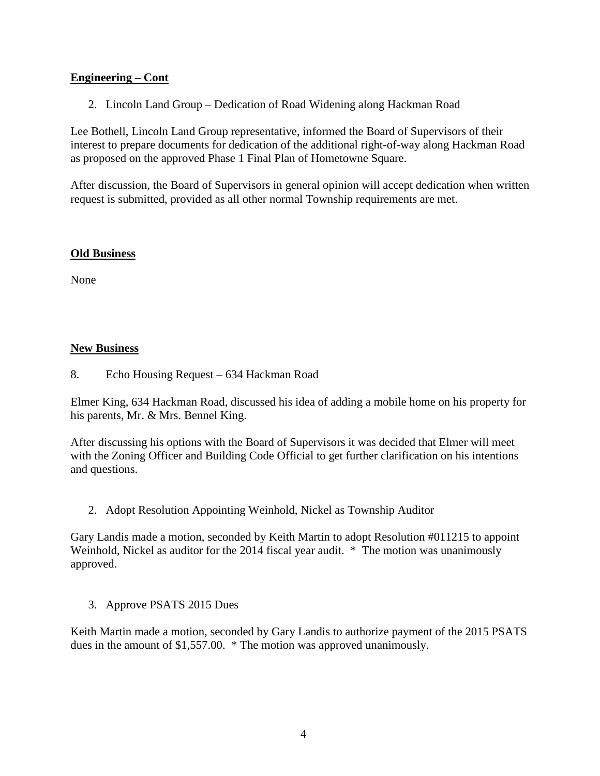## **Engineering – Cont**

2. Lincoln Land Group – Dedication of Road Widening along Hackman Road

Lee Bothell, Lincoln Land Group representative, informed the Board of Supervisors of their interest to prepare documents for dedication of the additional right-of-way along Hackman Road as proposed on the approved Phase 1 Final Plan of Hometowne Square.

After discussion, the Board of Supervisors in general opinion will accept dedication when written request is submitted, provided as all other normal Township requirements are met.

#### **Old Business**

None

### **New Business**

8. Echo Housing Request – 634 Hackman Road

Elmer King, 634 Hackman Road, discussed his idea of adding a mobile home on his property for his parents, Mr. & Mrs. Bennel King.

After discussing his options with the Board of Supervisors it was decided that Elmer will meet with the Zoning Officer and Building Code Official to get further clarification on his intentions and questions.

2. Adopt Resolution Appointing Weinhold, Nickel as Township Auditor

Gary Landis made a motion, seconded by Keith Martin to adopt Resolution #011215 to appoint Weinhold, Nickel as auditor for the 2014 fiscal year audit. \* The motion was unanimously approved.

3. Approve PSATS 2015 Dues

Keith Martin made a motion, seconded by Gary Landis to authorize payment of the 2015 PSATS dues in the amount of \$1,557.00. \* The motion was approved unanimously.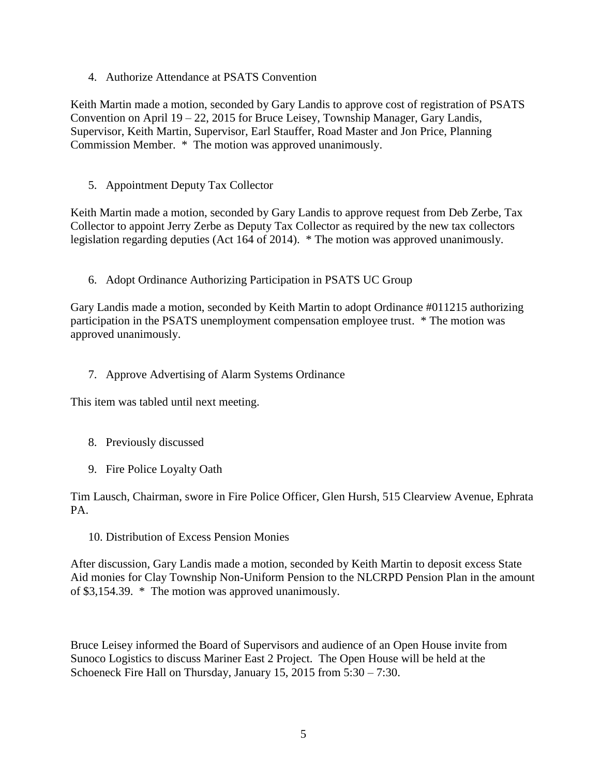4. Authorize Attendance at PSATS Convention

Keith Martin made a motion, seconded by Gary Landis to approve cost of registration of PSATS Convention on April 19 – 22, 2015 for Bruce Leisey, Township Manager, Gary Landis, Supervisor, Keith Martin, Supervisor, Earl Stauffer, Road Master and Jon Price, Planning Commission Member. \* The motion was approved unanimously.

5. Appointment Deputy Tax Collector

Keith Martin made a motion, seconded by Gary Landis to approve request from Deb Zerbe, Tax Collector to appoint Jerry Zerbe as Deputy Tax Collector as required by the new tax collectors legislation regarding deputies (Act 164 of 2014). \* The motion was approved unanimously.

6. Adopt Ordinance Authorizing Participation in PSATS UC Group

Gary Landis made a motion, seconded by Keith Martin to adopt Ordinance #011215 authorizing participation in the PSATS unemployment compensation employee trust. \* The motion was approved unanimously.

7. Approve Advertising of Alarm Systems Ordinance

This item was tabled until next meeting.

- 8. Previously discussed
- 9. Fire Police Loyalty Oath

Tim Lausch, Chairman, swore in Fire Police Officer, Glen Hursh, 515 Clearview Avenue, Ephrata PA.

10. Distribution of Excess Pension Monies

After discussion, Gary Landis made a motion, seconded by Keith Martin to deposit excess State Aid monies for Clay Township Non-Uniform Pension to the NLCRPD Pension Plan in the amount of \$3,154.39. \* The motion was approved unanimously.

Bruce Leisey informed the Board of Supervisors and audience of an Open House invite from Sunoco Logistics to discuss Mariner East 2 Project. The Open House will be held at the Schoeneck Fire Hall on Thursday, January 15, 2015 from 5:30 – 7:30.